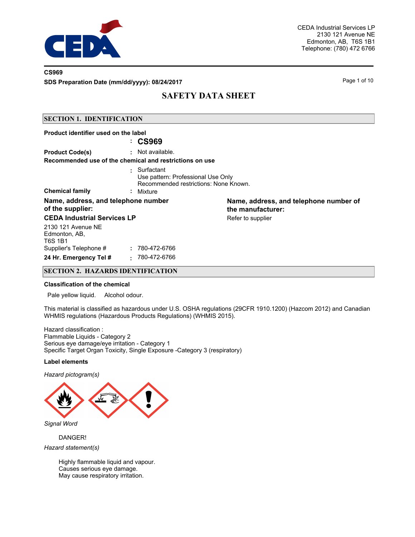

### **CS969**

**SDS Preparation Date (mm/dd/yyyy): 08/24/2017** Page 1 of 10

# **SAFETY DATA SHEET**

### **SECTION 1. IDENTIFICATION**

| Product identifier used on the label                    |                                                                                                        |                                                             |
|---------------------------------------------------------|--------------------------------------------------------------------------------------------------------|-------------------------------------------------------------|
|                                                         | : CS969                                                                                                |                                                             |
| <b>Product Code(s)</b>                                  | : Not available.                                                                                       |                                                             |
| Recommended use of the chemical and restrictions on use |                                                                                                        |                                                             |
| <b>Chemical family</b>                                  | Surfactant<br>Use pattern: Professional Use Only<br>Recommended restrictions: None Known.<br>: Mixture |                                                             |
| Name, address, and telephone number<br>of the supplier: |                                                                                                        | Name, address, and telephone number of<br>the manufacturer: |
| <b>CEDA Industrial Services LP</b>                      |                                                                                                        | Refer to supplier                                           |
| 2130 121 Avenue NE<br>Edmonton, AB,<br><b>T6S 1B1</b>   |                                                                                                        |                                                             |
| Supplier's Telephone #                                  | : 780-472-6766                                                                                         |                                                             |
| 24 Hr. Emergency Tel #<br>÷                             | 780-472-6766                                                                                           |                                                             |

## **SECTION 2. HAZARDS IDENTIFICATION**

#### **Classification of the chemical**

Pale yellow liquid. Alcohol odour.

This material is classified as hazardous under U.S. OSHA regulations (29CFR 1910.1200) (Hazcom 2012) and Canadian WHMIS regulations (Hazardous Products Regulations) (WHMIS 2015).

Hazard classification : Flammable Liquids - Category 2 Serious eye damage/eye irritation - Category 1 Specific Target Organ Toxicity, Single Exposure -Category 3 (respiratory)

#### **Label elements**

*Hazard pictogram(s)*



DANGER!

*Hazard statement(s)*

Highly flammable liquid and vapour. Causes serious eye damage. May cause respiratory irritation.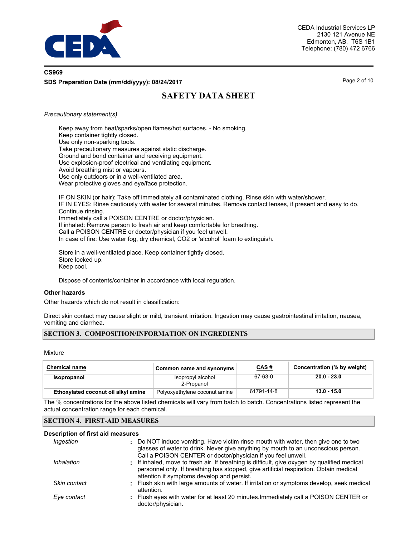

# **CS969 SDS Preparation Date (mm/dd/yyyy): 08/24/2017** Page 2 of 10

# **SAFETY DATA SHEET**

#### *Precautionary statement(s)*

Keep away from heat/sparks/open flames/hot surfaces. - No smoking. Keep container tightly closed. Use only non-sparking tools. Take precautionary measures against static discharge. Ground and bond container and receiving equipment. Use explosion-proof electrical and ventilating equipment. Avoid breathing mist or vapours. Use only outdoors or in a well-ventilated area. Wear protective gloves and eye/face protection.

IF ON SKIN (or hair): Take off immediately all contaminated clothing. Rinse skin with water/shower. IF IN EYES: Rinse cautiously with water for several minutes. Remove contact lenses, if present and easy to do. Continue rinsing. Immediately call a POISON CENTRE or doctor/physician. If inhaled: Remove person to fresh air and keep comfortable for breathing. Call a POISON CENTRE or doctor/physician if you feel unwell. In case of fire: Use water fog, dry chemical, CO2 or 'alcohol' foam to extinguish.

Store in a well-ventilated place. Keep container tightly closed. Store locked up. Keep cool.

Dispose of contents/container in accordance with local regulation.

### **Other hazards**

Other hazards which do not result in classification:

Direct skin contact may cause slight or mild, transient irritation. Ingestion may cause gastrointestinal irritation, nausea, vomiting and diarrhea.

## **SECTION 3. COMPOSITION/INFORMATION ON INGREDIENTS**

Mixture

| <b>Chemical name</b>                | Common name and synonyms        | <u>CAS#</u> | Concentration (% by weight) |
|-------------------------------------|---------------------------------|-------------|-----------------------------|
| Isopropanol                         | Isopropyl alcohol<br>2-Propanol | 67-63-0     | 20.0 - 23.0                 |
| Ethoxylated coconut oil alkyl amine | Polyoxyethylene coconut amine   | 61791-14-8  | $13.0 - 15.0$               |

The % concentrations for the above listed chemicals will vary from batch to batch. Concentrations listed represent the actual concentration range for each chemical.

#### **SECTION 4. FIRST-AID MEASURES**

#### **Description of first aid measures**

| Ingestion    | : Do NOT induce vomiting. Have victim rinse mouth with water, then give one to two                        |
|--------------|-----------------------------------------------------------------------------------------------------------|
|              | glasses of water to drink. Never give anything by mouth to an unconscious person.                         |
|              | Call a POISON CENTER or doctor/physician if you feel unwell.                                              |
| Inhalation   | : If inhaled, move to fresh air. If breathing is difficult, give oxygen by qualified medical              |
|              | personnel only. If breathing has stopped, give artificial respiration. Obtain medical                     |
|              | attention if symptoms develop and persist.                                                                |
| Skin contact | : Flush skin with large amounts of water. If irritation or symptoms develop, seek medical<br>attention.   |
| Eye contact  | : Flush eyes with water for at least 20 minutes. Immediately call a POISON CENTER or<br>doctor/physician. |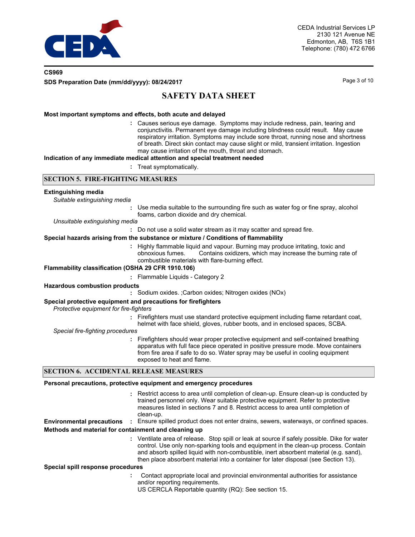

## **CS969 SDS Preparation Date (mm/dd/yyyy): 08/24/2017** Page 3 of 10

# **SAFETY DATA SHEET**

### **Most important symptoms and effects, both acute and delayed**

Causes serious eye damage. Symptoms may include redness, pain, tearing and **:** conjunctivitis. Permanent eye damage including blindness could result. May cause respiratory irritation. Symptoms may include sore throat, running nose and shortness of breath. Direct skin contact may cause slight or mild, transient irritation. Ingestion may cause irritation of the mouth, throat and stomach.

#### **Indication of any immediate medical attention and special treatment needed**

**:** Treat symptomatically.

### **SECTION 5. FIRE-FIGHTING MEASURES**

#### **Extinguishing media**

| Suitable extinguishing media |  |  |
|------------------------------|--|--|
|                              |  |  |

- **:** Use media suitable to the surrounding fire such as water fog or fine spray, alcohol foams, carbon dioxide and dry chemical.
- *Unsuitable extinguishing media*
	- **:** Do not use a solid water stream as it may scatter and spread fire.

#### **Special hazards arising from the substance or mixture / Conditions of flammability**

**:** Highly flammable liquid and vapour. Burning may produce irritating, toxic and obnoxious fumes. Contains oxidizers, which may increase the burning rate of combustible materials with flare-burning effect.

#### **Flammability classification (OSHA 29 CFR 1910.106)**

**:** Flammable Liquids - Category 2

#### **Hazardous combustion products**

**:** Sodium oxides. ;Carbon oxides; Nitrogen oxides (NOx)

### **Special protective equipment and precautions for firefighters**

*Protective equipment for fire-fighters*

**:** Firefighters must use standard protective equipment including flame retardant coat,

helmet with face shield, gloves, rubber boots, and in enclosed spaces, SCBA.

#### *Special fire-fighting procedures*

**:** Firefighters should wear proper protective equipment and self-contained breathing apparatus with full face piece operated in positive pressure mode. Move containers from fire area if safe to do so. Water spray may be useful in cooling equipment exposed to heat and flame.

### **SECTION 6. ACCIDENTAL RELEASE MEASURES**

#### **Personal precautions, protective equipment and emergency procedures**

Restrict access to area until completion of clean-up. Ensure clean-up is conducted by **:** trained personnel only. Wear suitable protective equipment. Refer to protective measures listed in sections 7 and 8. Restrict access to area until completion of clean-up.

**Environmental precautions :** Ensure spilled product does not enter drains, sewers, waterways, or confined spaces. **Methods and material for containment and cleaning up**

> Ventilate area of release. Stop spill or leak at source if safely possible. Dike for water **:** control. Use only non-sparking tools and equipment in the clean-up process. Contain and absorb spilled liquid with non-combustible, inert absorbent material (e.g. sand), then place absorbent material into a container for later disposal (see Section 13).

#### **Special spill response procedures**

- **:** Contact appropriate local and provincial environmental authorities for assistance and/or reporting requirements.
- US CERCLA Reportable quantity (RQ): See section 15.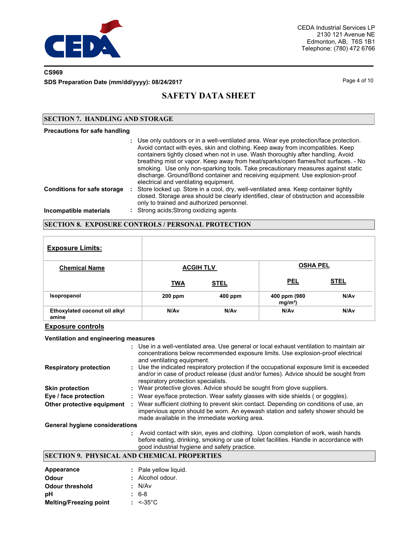

# **CS969**

**SDS Preparation Date (mm/dd/yyyy): 08/24/2017** Page 4 of 10

# **SAFETY DATA SHEET**

### **SECTION 7. HANDLING AND STORAGE**

#### **Precautions for safe handling**

|                                    | : Use only outdoors or in a well-ventilated area. Wear eye protection/face protection.<br>Avoid contact with eyes, skin and clothing. Keep away from incompatibles. Keep<br>containers tightly closed when not in use. Wash thoroughly after handling. Avoid<br>breathing mist or vapor. Keep away from heat/sparks/open flames/hot surfaces. - No<br>smoking. Use only non-sparking tools. Take precautionary measures against static<br>discharge. Ground/Bond container and receiving equipment. Use explosion-proof<br>electrical and ventilating equipment. |
|------------------------------------|------------------------------------------------------------------------------------------------------------------------------------------------------------------------------------------------------------------------------------------------------------------------------------------------------------------------------------------------------------------------------------------------------------------------------------------------------------------------------------------------------------------------------------------------------------------|
| <b>Conditions for safe storage</b> | Store locked up. Store in a cool, dry, well-ventilated area. Keep container tightly<br>closed. Storage area should be clearly identified, clear of obstruction and accessible<br>only to trained and authorized personnel.                                                                                                                                                                                                                                                                                                                                       |
| Incompatible materials             | : Strong acids; Strong oxidizing agents                                                                                                                                                                                                                                                                                                                                                                                                                                                                                                                          |

# **SECTION 8. EXPOSURE CONTROLS / PERSONAL PROTECTION**

| <b>Exposure Limits:</b>                |            |                  |                           |                  |
|----------------------------------------|------------|------------------|---------------------------|------------------|
| <b>Chemical Name</b>                   |            | <b>ACGIH TLV</b> | <b>OSHA PEL</b>           |                  |
|                                        | <b>TWA</b> | <b>STEL</b>      | <b>PEL</b>                | <b>STEL</b>      |
| Isopropanol                            | $200$ ppm  | 400 ppm          | 400 ppm (980<br>$mg/m3$ ) | N/A <sub>v</sub> |
| Ethoxylated coconut oil alkyl<br>amine | N/Av       | N/Av             | N/Av                      | N/A <sub>v</sub> |

### **Exposure controls**

#### **Ventilation and engineering measures**

|                                       | : Use in a well-ventilated area. Use general or local exhaust ventilation to maintain air<br>concentrations below recommended exposure limits. Use explosion-proof electrical<br>and ventilating equipment.              |
|---------------------------------------|--------------------------------------------------------------------------------------------------------------------------------------------------------------------------------------------------------------------------|
| <b>Respiratory protection</b>         | : Use the indicated respiratory protection if the occupational exposure limit is exceeded<br>and/or in case of product release (dust and/or fumes). Advice should be sought from<br>respiratory protection specialists.  |
| <b>Skin protection</b>                | : Wear protective gloves. Advice should be sought from glove suppliers.                                                                                                                                                  |
| Eye / face protection                 | : Wear eye/face protection. Wear safety glasses with side shields (or goggles).                                                                                                                                          |
| Other protective equipment            | Wear sufficient clothing to prevent skin contact. Depending on conditions of use, an<br>impervious apron should be worn. An eyewash station and safety shower should be<br>made available in the immediate working area. |
| <b>General hygiene considerations</b> |                                                                                                                                                                                                                          |
|                                       |                                                                                                                                                                                                                          |

**:** Avoid contact with skin, eyes and clothing. Upon completion of work, wash hands before eating, drinking, smoking or use of toilet facilities. Handle in accordance with good industrial hygiene and safety practice.

## **SECTION 9. PHYSICAL AND CHEMICAL PROPERTIES**

| Appearance                    | : Pale yellow liquid. |
|-------------------------------|-----------------------|
| <b>Odour</b>                  | : Alcohol odour.      |
| <b>Odour threshold</b>        | : N/Av                |
| рH                            | : 6-8                 |
| <b>Melting/Freezing point</b> | $: < 35^{\circ}$ C    |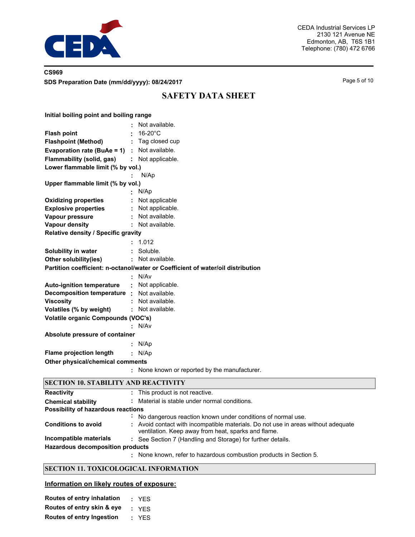

# **CS969 SDS Preparation Date (mm/dd/yyyy): 08/24/2017** Page 5 of 10

# **SAFETY DATA SHEET**

| Initial boiling point and boiling range         |                                                                                 |
|-------------------------------------------------|---------------------------------------------------------------------------------|
|                                                 | Not available.                                                                  |
| <b>Flash point</b>                              | 16-20°C                                                                         |
| <b>Flashpoint (Method)</b>                      | : Tag closed cup                                                                |
| Evaporation rate (BuAe = $1$ ) : Not available. |                                                                                 |
| Flammability (solid, gas)                       | : Not applicable.                                                               |
| Lower flammable limit (% by vol.)               |                                                                                 |
|                                                 | N/Ap                                                                            |
| Upper flammable limit (% by vol.)               |                                                                                 |
|                                                 | N/Ap                                                                            |
| <b>Oxidizing properties</b>                     | Not applicable                                                                  |
| <b>Explosive properties</b>                     | Not applicable.                                                                 |
| Vapour pressure                                 | Not available.                                                                  |
| <b>Vapour density</b>                           | Not available.                                                                  |
| Relative density / Specific gravity             |                                                                                 |
|                                                 | 1.012                                                                           |
| Solubility in water                             | Soluble.                                                                        |
| Other solubility(ies)                           | : Not available.                                                                |
|                                                 | Partition coefficient: n-octanol/water or Coefficient of water/oil distribution |
|                                                 | : N/Av                                                                          |
| <b>Auto-ignition temperature</b>                | : Not applicable.                                                               |
| Decomposition temperature :                     | Not available.                                                                  |
| <b>Viscosity</b>                                | Not available.                                                                  |
| Volatiles (% by weight)                         | : Not available.                                                                |
| <b>Volatile organic Compounds (VOC's)</b>       |                                                                                 |
|                                                 | : N/Av                                                                          |
| Absolute pressure of container                  |                                                                                 |
|                                                 | N/Ap                                                                            |
| <b>Flame projection length</b>                  | : N/Ap                                                                          |
| Other physical/chemical comments                |                                                                                 |
|                                                 | None known or reported by the manufacturer.                                     |
| <b>SECTION 10. STABILITY AND REACTIVITY</b>     |                                                                                 |

| <b>Reactivity</b>                       |                | : This product is not reactive.                                                                                                          |
|-----------------------------------------|----------------|------------------------------------------------------------------------------------------------------------------------------------------|
| <b>Chemical stability</b>               |                | Material is stable under normal conditions.                                                                                              |
| Possibility of hazardous reactions      |                |                                                                                                                                          |
|                                         | $\blacksquare$ | No dangerous reaction known under conditions of normal use.                                                                              |
| <b>Conditions to avoid</b>              |                | : Avoid contact with incompatible materials. Do not use in areas without adequate<br>ventilation. Keep away from heat, sparks and flame. |
| Incompatible materials                  |                | : See Section 7 (Handling and Storage) for further details.                                                                              |
| <b>Hazardous decomposition products</b> |                |                                                                                                                                          |
|                                         |                | None known, refer to hazardous combustion products in Section 5.                                                                         |

## **SECTION 11. TOXICOLOGICAL INFORMATION**

## **Information on likely routes of exposure:**

| Routes of entry inhalation       | : YES |
|----------------------------------|-------|
| Routes of entry skin & eye       | : YFS |
| <b>Routes of entry Ingestion</b> | : YES |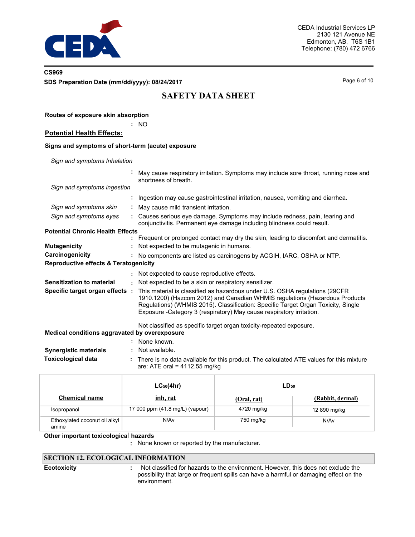

## **CS969 SDS Preparation Date (mm/dd/yyyy): 08/24/2017** Page 6 of 10

**Routes of exposure skin absorption**

# **SAFETY DATA SHEET**

|                                                   | ÷  | <b>NO</b>                                                                                                                                                                                                                                                                                                                |
|---------------------------------------------------|----|--------------------------------------------------------------------------------------------------------------------------------------------------------------------------------------------------------------------------------------------------------------------------------------------------------------------------|
| <b>Potential Health Effects:</b>                  |    |                                                                                                                                                                                                                                                                                                                          |
| Signs and symptoms of short-term (acute) exposure |    |                                                                                                                                                                                                                                                                                                                          |
| Sign and symptoms Inhalation                      |    |                                                                                                                                                                                                                                                                                                                          |
|                                                   |    | May cause respiratory irritation. Symptoms may include sore throat, running nose and<br>shortness of breath.                                                                                                                                                                                                             |
| Sign and symptoms ingestion                       |    |                                                                                                                                                                                                                                                                                                                          |
|                                                   |    | Ingestion may cause gastrointestinal irritation, nausea, vomiting and diarrhea.                                                                                                                                                                                                                                          |
| Sign and symptoms skin                            | ÷. | May cause mild transient irritation.                                                                                                                                                                                                                                                                                     |
| Sign and symptoms eyes                            |    | : Causes serious eye damage. Symptoms may include redness, pain, tearing and<br>conjunctivitis. Permanent eye damage including blindness could result.                                                                                                                                                                   |
| <b>Potential Chronic Health Effects</b>           |    |                                                                                                                                                                                                                                                                                                                          |
|                                                   |    | Frequent or prolonged contact may dry the skin, leading to discomfort and dermatitis.                                                                                                                                                                                                                                    |
| <b>Mutagenicity</b>                               |    | : Not expected to be mutagenic in humans.                                                                                                                                                                                                                                                                                |
| Carcinogenicity                                   |    | No components are listed as carcinogens by ACGIH, IARC, OSHA or NTP.                                                                                                                                                                                                                                                     |
| <b>Reproductive effects &amp; Teratogenicity</b>  |    |                                                                                                                                                                                                                                                                                                                          |
|                                                   |    | Not expected to cause reproductive effects.                                                                                                                                                                                                                                                                              |
| Sensitization to material                         |    | : Not expected to be a skin or respiratory sensitizer.                                                                                                                                                                                                                                                                   |
| Specific target organ effects :                   |    | This material is classified as hazardous under U.S. OSHA regulations (29CFR<br>1910.1200) (Hazcom 2012) and Canadian WHMIS regulations (Hazardous Products<br>Regulations) (WHMIS 2015). Classification: Specific Target Organ Toxicity, Single<br>Exposure - Category 3 (respiratory) May cause respiratory irritation. |
|                                                   |    | Not classified as specific target organ toxicity-repeated exposure.                                                                                                                                                                                                                                                      |
| Medical conditions aggravated by overexposure     |    |                                                                                                                                                                                                                                                                                                                          |
|                                                   |    | None known.                                                                                                                                                                                                                                                                                                              |
| <b>Synergistic materials</b>                      |    | Not available.                                                                                                                                                                                                                                                                                                           |
| <b>Toxicological data</b>                         | ÷. | There is no data available for this product. The calculated ATE values for this mixture<br>are: ATE oral = $4112.55$ mg/kg                                                                                                                                                                                               |

|                                        | $LC_{50}(4hr)$                  | $LD_{50}$   |                  |  |
|----------------------------------------|---------------------------------|-------------|------------------|--|
| <b>Chemical name</b>                   | <u>inh, rat</u>                 | (Oral, rat) | (Rabbit, dermal) |  |
| Isopropanol                            | 17 000 ppm (41.8 mg/L) (vapour) | 4720 mg/kg  | 12 890 mg/kg     |  |
| Ethoxylated coconut oil alkyl<br>amine | N/Av                            | 750 mg/kg   | N/Av             |  |

### **Other important toxicologica**l **hazards**

**:** None known or reported by the manufacturer.

# **SECTION 12. ECOLOGICAL INFORMATION**

**Ecotoxicity :**

 Not classified for hazards to the environment. However, this does not exclude the possibility that large or frequent spills can have a harmful or damaging effect on the environment.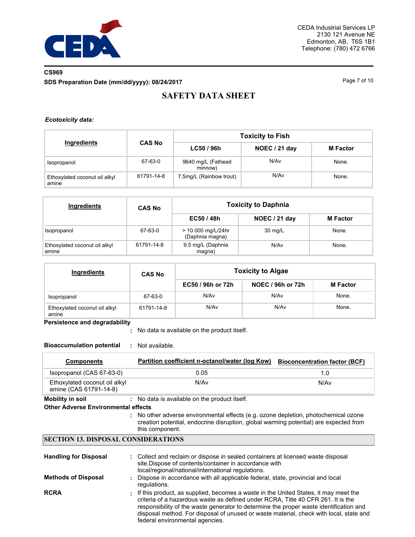

# **CS969 SDS Preparation Date (mm/dd/yyyy): 08/24/2017** Page 7 of 10

# **SAFETY DATA SHEET**

### *Ecotoxicity data:*

|                                        |               |                               | <b>Toxicity to Fish</b> |                 |  |
|----------------------------------------|---------------|-------------------------------|-------------------------|-----------------|--|
| Ingredients                            | <b>CAS No</b> | LC50/96h                      | NOEC / 21 day           | <b>M</b> Factor |  |
| Isopropanol                            | 67-63-0       | 9640 mg/L (Fathead<br>minnow) | N/Av                    | None.           |  |
| Ethoxylated coconut oil alkyl<br>amine | 61791-14-8    | 7.5mg/L (Rainbow trout)       | N/Av                    | None.           |  |

| <b>Ingredients</b>                     | <b>CAS No</b> | <b>Toxicity to Daphnia</b>            |               |                 |  |  |
|----------------------------------------|---------------|---------------------------------------|---------------|-----------------|--|--|
|                                        |               | EC50 / 48h                            | NOEC / 21 day | <b>M</b> Factor |  |  |
| Isopropanol                            | 67-63-0       | > 10 000 mg/L/24hr<br>(Daphnia magna) | 30 mg/L       | None.           |  |  |
| Ethoxylated coconut oil alkyl<br>amine | 61791-14-8    | 9.5 mg/L (Daphnia<br>magna)           | N/Av          | None.           |  |  |

| Ingredients                            | <b>CAS No</b> | <b>Toxicity to Algae</b> |                   |                 |  |  |
|----------------------------------------|---------------|--------------------------|-------------------|-----------------|--|--|
|                                        |               | EC50 / 96h or 72h        | NOEC / 96h or 72h | <b>M</b> Factor |  |  |
| Isopropanol                            | 67-63-0       | N/Av                     | N/Av              | None.           |  |  |
| Ethoxylated coconut oil alkyl<br>amine | 61791-14-8    | N/Av                     | N/Av              | None.           |  |  |

**Persistence and degradability**

No data is available on the product itself. **:**

**Bioaccumulation potential :** Not available.

| <b>Components</b>                                                     | Partition coefficient n-octanol/water (log Kow)                                                                                                                                                                                                  | <b>Bioconcentration factor (BCF)</b> |
|-----------------------------------------------------------------------|--------------------------------------------------------------------------------------------------------------------------------------------------------------------------------------------------------------------------------------------------|--------------------------------------|
| Isopropanol (CAS 67-63-0)                                             | 0.05                                                                                                                                                                                                                                             | 1.0                                  |
| Ethoxylated coconut oil alkyl<br>amine (CAS 61791-14-8)               | N/Av                                                                                                                                                                                                                                             | N/Av                                 |
| <b>Mobility in soil</b><br><b>Other Adverse Environmental effects</b> | : No data is available on the product itself.<br>: No other adverse environmental effects (e.g. ozone depletion, photochemical ozone<br>creation potential, endocrine disruption, global warming potential) are expected from<br>this component. |                                      |
| <b>SECTION 13. DISPOSAL CONSIDERATIONS</b>                            |                                                                                                                                                                                                                                                  |                                      |
| <b>Handling for Disposal</b>                                          | : Collect and reclaim or dispose in sealed containers at licensed waste disposal<br>site. Dispose of contents/container in accordance with<br>local/regional/national/international regulations.                                                 |                                      |

- Dispose in accordance with all applicable federal, state, provincial and local regulations. **Methods of Disposal :**
- **RCRA :** If this product, as supplied, becomes a waste in the United States, it may meet the criteria of a hazardous waste as defined under RCRA, Title 40 CFR 261. It is the responsibility of the waste generator to determine the proper waste identification and disposal method. For disposal of unused or waste material, check with local, state and federal environmental agencies.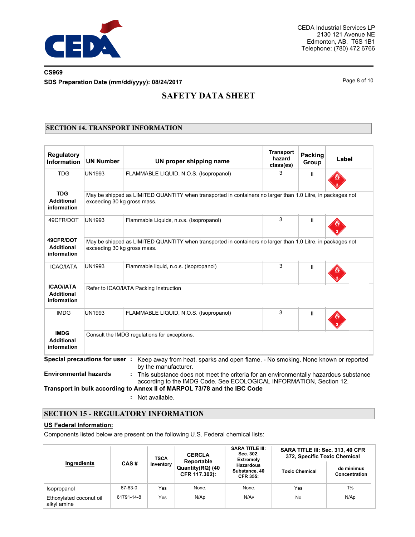

# **CS969 SDS Preparation Date (mm/dd/yyyy): 08/24/2017** Page 8 of 10

# **SAFETY DATA SHEET**

## **SECTION 14. TRANSPORT INFORMATION**

| <b>Regulatory</b><br>Information                     | <b>UN Number</b>                       | UN proper shipping name                                                                                                                                                                                                                 | <b>Transport</b><br>hazard<br>class(es) | Packing<br>Group | Label |  |
|------------------------------------------------------|----------------------------------------|-----------------------------------------------------------------------------------------------------------------------------------------------------------------------------------------------------------------------------------------|-----------------------------------------|------------------|-------|--|
| <b>TDG</b>                                           | <b>UN1993</b>                          | FLAMMABLE LIQUID, N.O.S. (Isopropanol)                                                                                                                                                                                                  | 3                                       | $\mathbf{H}$     |       |  |
| <b>TDG</b><br><b>Additional</b><br>information       | exceeding 30 kg gross mass.            | May be shipped as LIMITED QUANTITY when transported in containers no larger than 1.0 Litre, in packages not                                                                                                                             |                                         |                  |       |  |
| 49CFR/DOT                                            | <b>UN1993</b>                          | Flammable Liquids, n.o.s. (Isopropanol)                                                                                                                                                                                                 | 3                                       | Ш                |       |  |
| 49CFR/DOT<br><b>Additional</b><br>information        | exceeding 30 kg gross mass.            | May be shipped as LIMITED QUANTITY when transported in containers no larger than 1.0 Litre, in packages not                                                                                                                             |                                         |                  |       |  |
| <b>ICAO/IATA</b>                                     | <b>UN1993</b>                          | Flammable liquid, n.o.s. (Isopropanol)                                                                                                                                                                                                  | 3                                       | Ш                |       |  |
| <b>ICAO/IATA</b><br><b>Additional</b><br>information | Refer to ICAO/IATA Packing Instruction |                                                                                                                                                                                                                                         |                                         |                  |       |  |
| <b>IMDG</b>                                          | <b>UN1993</b>                          | FLAMMABLE LIQUID, N.O.S. (Isopropanol)                                                                                                                                                                                                  | 3                                       | Ш                |       |  |
| <b>IMDG</b><br><b>Additional</b><br>information      |                                        | Consult the IMDG requlations for exceptions.                                                                                                                                                                                            |                                         |                  |       |  |
|                                                      | Special precautions for user:          | Keep away from heat, sparks and open flame. - No smoking. None known or reported<br>by the manufacturer.                                                                                                                                |                                         |                  |       |  |
| <b>Environmental hazards</b>                         |                                        | This substance does not meet the criteria for an environmentally hazardous substance<br>according to the IMDG Code. See ECOLOGICAL INFORMATION, Section 12.<br>Transport in bulk according to Annex II of MARPOL 73/78 and the IBC Code |                                         |                  |       |  |
|                                                      |                                        | Not available.                                                                                                                                                                                                                          |                                         |                  |       |  |

## **SECTION 15 - REGULATORY INFORMATION**

## **US Federal Information:**

Components listed below are present on the following U.S. Federal chemical lists:

|                                        |                   | <b>TSCA</b> | <b>CERCLA</b><br>Reportable       | <b>SARA TITLE III:</b><br>Sec. 302.<br><b>Extremely</b> | SARA TITLE III: Sec. 313, 40 CFR<br>372, Specific Toxic Chemical |                                    |  |
|----------------------------------------|-------------------|-------------|-----------------------------------|---------------------------------------------------------|------------------------------------------------------------------|------------------------------------|--|
| Ingredients                            | CAS#<br>Inventory |             | Quantity(RQ) (40<br>CFR 117.302): | <b>Hazardous</b><br>Substance, 40<br><b>CFR 355:</b>    | <b>Toxic Chemical</b>                                            | de minimus<br><b>Concentration</b> |  |
| Isopropanol                            | 67-63-0           | Yes         | None.                             | None.                                                   | Yes                                                              | 1%                                 |  |
| Ethoxylated coconut oil<br>alkyl amine | 61791-14-8        | Yes         | N/Ap                              | N/Av                                                    | No                                                               | N/Ap                               |  |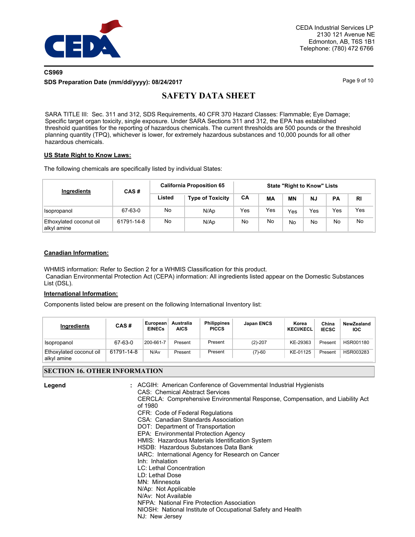

## **CS969 SDS Preparation Date (mm/dd/yyyy): 08/24/2017** Page 9 of 10

# **SAFETY DATA SHEET**

SARA TITLE III: Sec. 311 and 312, SDS Requirements, 40 CFR 370 Hazard Classes: Flammable; Eye Damage; Specific target organ toxicity, single exposure. Under SARA Sections 311 and 312, the EPA has established threshold quantities for the reporting of hazardous chemicals. The current thresholds are 500 pounds or the threshold planning quantity (TPQ), whichever is lower, for extremely hazardous substances and 10,000 pounds for all other hazardous chemicals.

### **US State Right to Know Laws:**

The following chemicals are specifically listed by individual States:

| Ingredients                            | CAS#       |        | <b>California Proposition 65</b> | <b>State "Right to Know" Lists</b> |     |           |           |     |     |
|----------------------------------------|------------|--------|----------------------------------|------------------------------------|-----|-----------|-----------|-----|-----|
|                                        |            | Listed | <b>Type of Toxicity</b>          | CA                                 | MА  | <b>MN</b> | <b>NJ</b> | PA  | RI  |
| Isopropanol                            | 67-63-0    | No     | N/Ap                             | Yes                                | Yes | Yes       | Yes       | Yes | Yes |
| Ethoxylated coconut oil<br>alkyl amine | 61791-14-8 | No     | N/Ap                             | No                                 | No  | No        | No.       | No  | No  |

### **Canadian Information:**

WHMIS information: Refer to Section 2 for a WHMIS Classification for this product. Canadian Environmental Protection Act (CEPA) information: All ingredients listed appear on the Domestic Substances List (DSL).

### **International Information:**

Components listed below are present on the following International Inventory list:

| Ingredients                            | CAS#       | European<br><b>EINECs</b> | Australia<br><b>AICS</b> | <b>Philippines</b><br><b>PICCS</b> | Japan ENCS | Korea<br><b>KECI/KECL</b> | China<br><b>IECSC</b> | NewZealand<br><b>IOC</b> |
|----------------------------------------|------------|---------------------------|--------------------------|------------------------------------|------------|---------------------------|-----------------------|--------------------------|
| Isopropanol                            | 67-63-0    | 200-661-7                 | Present                  | Present                            | $(2)-207$  | KE-29363                  | Present               | HSR001180                |
| Ethoxylated coconut oil<br>alkyl amine | 61791-14-8 | N/Av                      | Present                  | Present                            | $(7)-60$   | KE-01125                  | Present               | HSR003283                |

## **SECTION 16. OTHER INFORMATION**

| Legend | : ACGIH: American Conference of Governmental Industrial Hygienists                       |
|--------|------------------------------------------------------------------------------------------|
|        | CAS: Chemical Abstract Services                                                          |
|        | CERCLA: Comprehensive Environmental Response, Compensation, and Liability Act<br>of 1980 |
|        | CFR: Code of Federal Regulations                                                         |
|        | <b>CSA: Canadian Standards Association</b>                                               |
|        | DOT: Department of Transportation                                                        |
|        | EPA: Environmental Protection Agency                                                     |
|        | HMIS: Hazardous Materials Identification System                                          |
|        | HSDB: Hazardous Substances Data Bank                                                     |
|        | IARC: International Agency for Research on Cancer                                        |
|        | Inh: Inhalation                                                                          |
|        | LC: Lethal Concentration                                                                 |
|        | LD: Lethal Dose                                                                          |
|        | MN: Minnesota                                                                            |
|        | N/Ap: Not Applicable                                                                     |
|        | N/Av: Not Available                                                                      |
|        | NFPA: National Fire Protection Association                                               |
|        | NIOSH: National Institute of Occupational Safety and Health                              |
|        | NJ: New Jersey                                                                           |